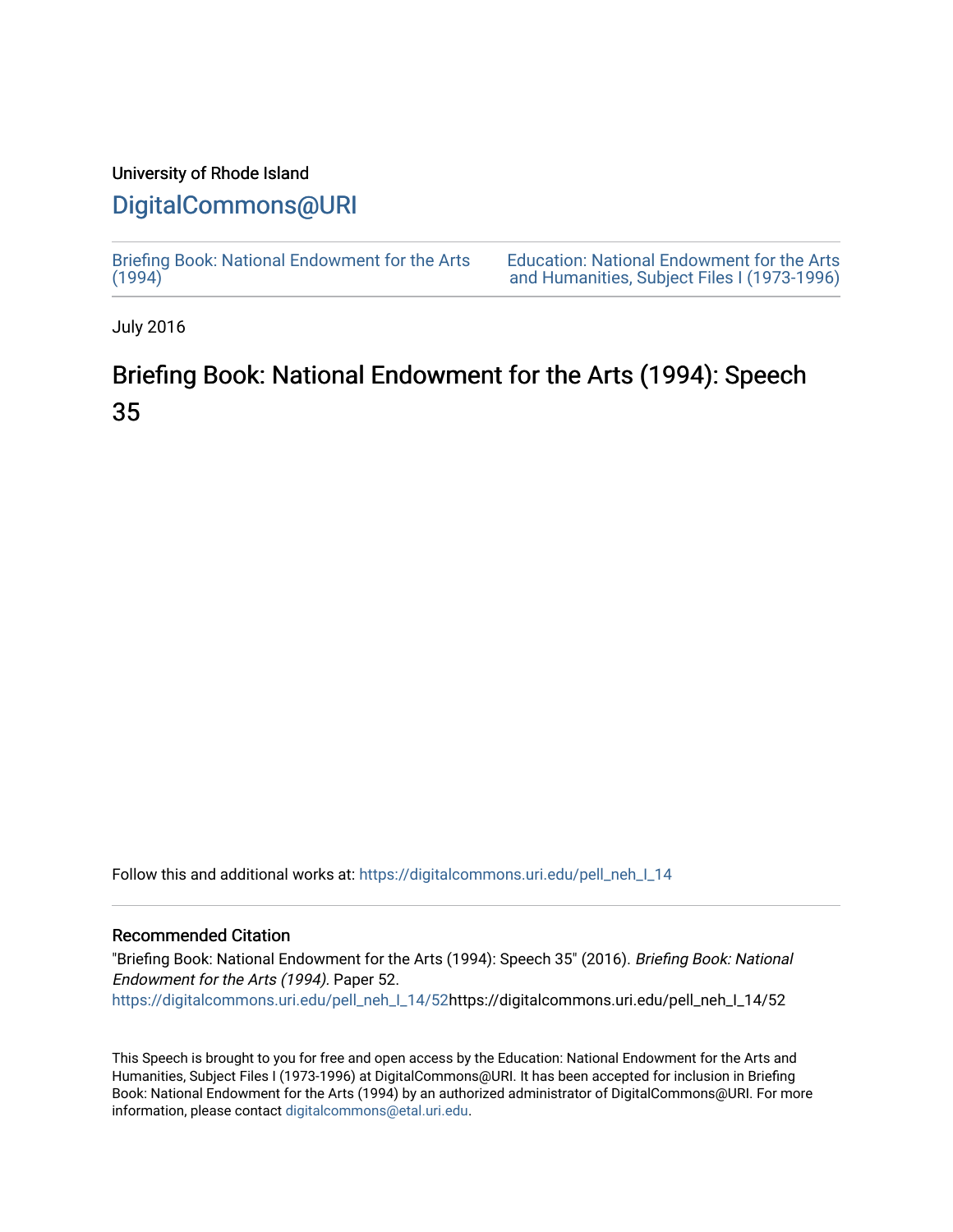### University of Rhode Island

## [DigitalCommons@URI](https://digitalcommons.uri.edu/)

[Briefing Book: National Endowment for the Arts](https://digitalcommons.uri.edu/pell_neh_I_14)  $(1994)$ 

[Education: National Endowment for the Arts](https://digitalcommons.uri.edu/pell_neh_I)  [and Humanities, Subject Files I \(1973-1996\)](https://digitalcommons.uri.edu/pell_neh_I) 

July 2016

# Briefing Book: National Endowment for the Arts (1994): Speech 35

Follow this and additional works at: [https://digitalcommons.uri.edu/pell\\_neh\\_I\\_14](https://digitalcommons.uri.edu/pell_neh_I_14?utm_source=digitalcommons.uri.edu%2Fpell_neh_I_14%2F52&utm_medium=PDF&utm_campaign=PDFCoverPages) 

### Recommended Citation

"Briefing Book: National Endowment for the Arts (1994): Speech 35" (2016). Briefing Book: National Endowment for the Arts (1994). Paper 52. [https://digitalcommons.uri.edu/pell\\_neh\\_I\\_14/52h](https://digitalcommons.uri.edu/pell_neh_I_14/52?utm_source=digitalcommons.uri.edu%2Fpell_neh_I_14%2F52&utm_medium=PDF&utm_campaign=PDFCoverPages)ttps://digitalcommons.uri.edu/pell\_neh\_I\_14/52

This Speech is brought to you for free and open access by the Education: National Endowment for the Arts and Humanities, Subject Files I (1973-1996) at DigitalCommons@URI. It has been accepted for inclusion in Briefing Book: National Endowment for the Arts (1994) by an authorized administrator of DigitalCommons@URI. For more information, please contact [digitalcommons@etal.uri.edu.](mailto:digitalcommons@etal.uri.edu)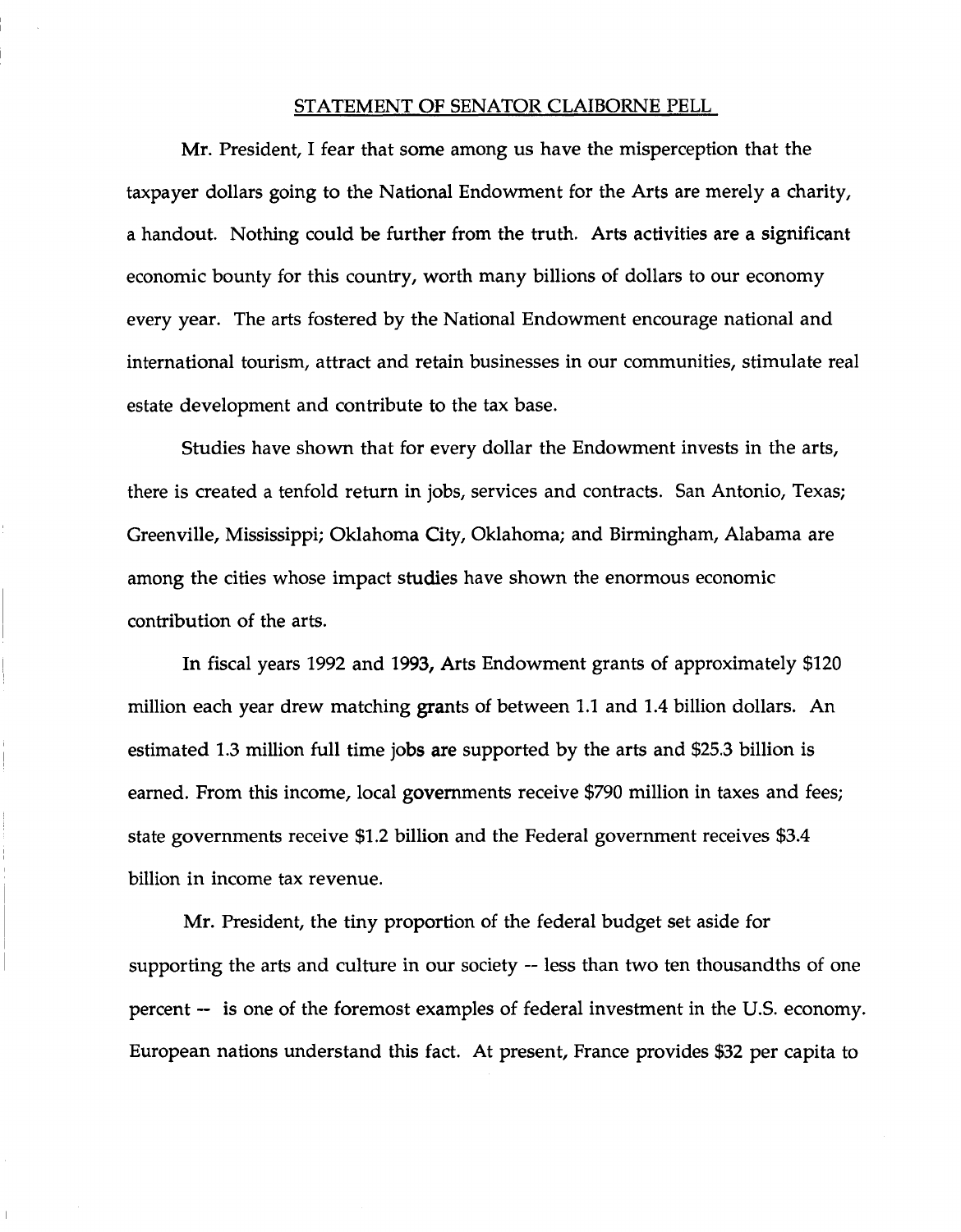### STATEMENT OF SENATOR CLAIBORNE PELL

Mr. President, I fear that some among us have the misperception that the taxpayer dollars going to the National Endowment for the Arts are merely a charity, a handout. Nothing could be further from the truth. Arts activities are a significant economic bounty for this country, worth many billions of dollars to our economy every year. The arts fostered by the National Endowment encourage national and international tourism, attract and retain businesses in our communities, stimulate real estate development and contribute to the tax base.

Studies have shown that for every dollar the Endowment invests in the arts, there is created a tenfold return in jobs, services and contracts. San Antonio, Texas; Greenville, Mississippi; Oklahoma City, Oklahoma; and Birmingham, Alabama are among the cities whose impact studies have shown the enormous economic contribution of the arts.

In fiscal years 1992 and 1993, Arts Endowment grants of approximately \$120 million each year drew matching grants of between 1.1 and 1.4 billion dollars. An estimated 1.3 million full time jobs are supported by the arts and \$25.3 billion is earned. From this income, local governments receive \$790 million in taxes and fees; state governments receive \$1.2 billion and the Federal government receives \$3.4 billion in income tax revenue.

Mr. President, the tiny proportion of the federal budget set aside for supporting the arts and culture in our society -- less than two ten thousandths of one percent -- is one of the foremost examples of federal investment in the U.S. economy. European nations understand this fact. At present, France provides \$32 per capita to